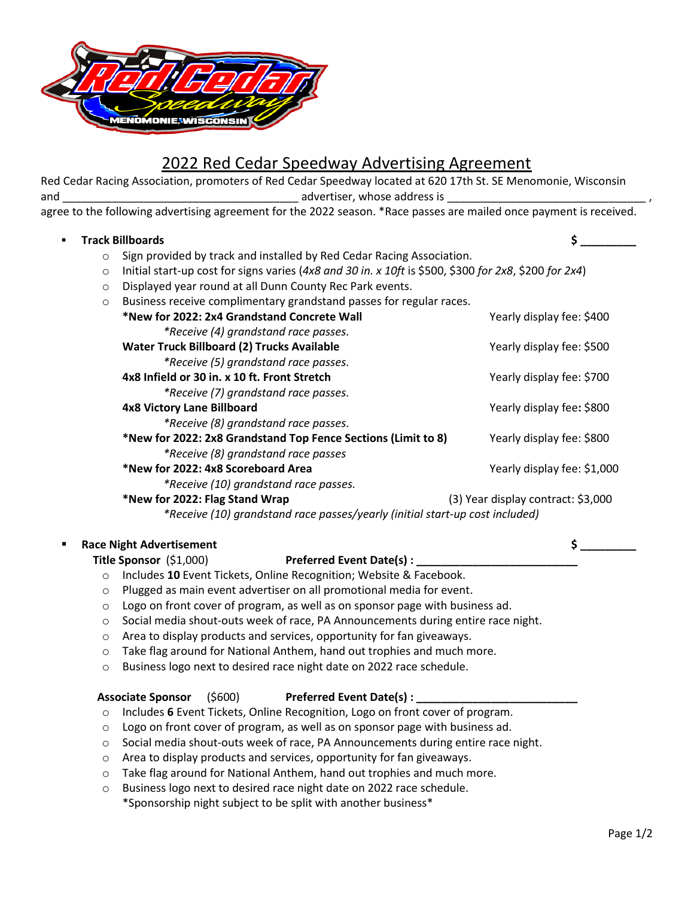

## 2022 Red Cedar Speedway Advertising Agreement

Red Cedar Racing Association, promoters of Red Cedar Speedway located at 620 17th St. SE Menomonie, Wisconsin and \_\_\_\_\_\_\_\_\_\_\_\_\_\_\_\_\_\_\_\_\_\_\_\_\_\_\_\_\_\_\_\_\_\_\_\_\_\_ advertiser, whose address is \_\_\_\_\_\_\_\_\_\_\_\_\_\_\_\_\_\_\_\_\_\_\_\_\_\_\_\_\_\_\_\_ ,

agree to the following advertising agreement for the 2022 season. \*Race passes are mailed once payment is received.

|                                | <b>Track Billboards</b>                                                                                         | \$                                 |  |
|--------------------------------|-----------------------------------------------------------------------------------------------------------------|------------------------------------|--|
| $\circ$                        | Sign provided by track and installed by Red Cedar Racing Association.                                           |                                    |  |
| $\circ$                        | Initial start-up cost for signs varies (4x8 and 30 in. x 10ft is \$500, \$300 for 2x8, \$200 for 2x4)           |                                    |  |
| $\circ$                        | Displayed year round at all Dunn County Rec Park events.                                                        |                                    |  |
| $\circ$                        | Business receive complimentary grandstand passes for regular races.                                             |                                    |  |
|                                | *New for 2022: 2x4 Grandstand Concrete Wall                                                                     | Yearly display fee: \$400          |  |
|                                | *Receive (4) grandstand race passes.                                                                            |                                    |  |
|                                | Water Truck Billboard (2) Trucks Available                                                                      | Yearly display fee: \$500          |  |
|                                | *Receive (5) grandstand race passes.                                                                            |                                    |  |
|                                | 4x8 Infield or 30 in. x 10 ft. Front Stretch                                                                    | Yearly display fee: \$700          |  |
|                                | *Receive (7) grandstand race passes.                                                                            |                                    |  |
|                                | <b>4x8 Victory Lane Billboard</b>                                                                               | Yearly display fee: \$800          |  |
|                                | *Receive (8) grandstand race passes.                                                                            |                                    |  |
|                                | *New for 2022: 2x8 Grandstand Top Fence Sections (Limit to 8)                                                   | Yearly display fee: \$800          |  |
|                                | *Receive (8) grandstand race passes                                                                             |                                    |  |
|                                | *New for 2022: 4x8 Scoreboard Area                                                                              | Yearly display fee: \$1,000        |  |
|                                | *Receive (10) grandstand race passes.                                                                           |                                    |  |
| *New for 2022: Flag Stand Wrap |                                                                                                                 | (3) Year display contract: \$3,000 |  |
|                                | *Receive (10) grandstand race passes/yearly (initial start-up cost included)<br><b>Race Night Advertisement</b> | \$                                 |  |
|                                | Preferred Event Date(s) : _________<br>Title Sponsor (\$1,000)                                                  |                                    |  |
| $\circ$                        | Includes 10 Event Tickets, Online Recognition; Website & Facebook.                                              |                                    |  |
| $\circ$                        | Plugged as main event advertiser on all promotional media for event.                                            |                                    |  |
| $\circ$                        | Logo on front cover of program, as well as on sponsor page with business ad.                                    |                                    |  |
| $\circ$                        | Social media shout-outs week of race, PA Announcements during entire race night.                                |                                    |  |
| $\circ$                        | Area to display products and services, opportunity for fan giveaways.                                           |                                    |  |
| $\circ$                        | Take flag around for National Anthem, hand out trophies and much more.                                          |                                    |  |
| $\circ$                        | Business logo next to desired race night date on 2022 race schedule.                                            |                                    |  |
|                                | <b>Associate Sponsor</b><br>(5600)                                                                              |                                    |  |
| $\circ$                        | Includes 6 Event Tickets, Online Recognition, Logo on front cover of program.                                   |                                    |  |
| $\circ$                        | Logo on front cover of program, as well as on sponsor page with business ad.                                    |                                    |  |
| $\circ$                        | Social media shout-outs week of race, PA Announcements during entire race night.                                |                                    |  |
| $\circ$                        | Area to display products and services, opportunity for fan giveaways.                                           |                                    |  |
| $\circ$                        | Take flag around for National Anthem, hand out trophies and much more.                                          |                                    |  |
| $\circ$                        | Business logo next to desired race night date on 2022 race schedule.                                            |                                    |  |
|                                | *Sponsorship night subject to be split with another business*                                                   |                                    |  |